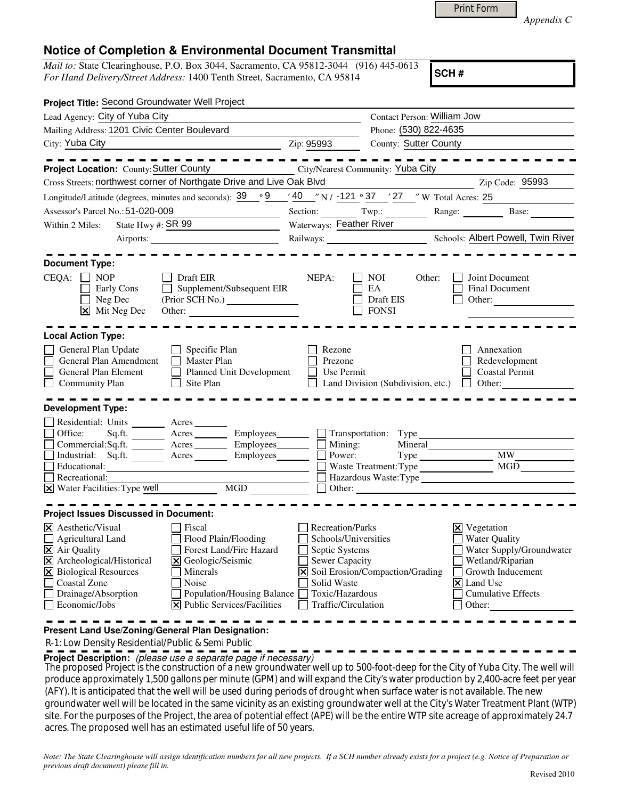|  | Print Form |
|--|------------|
|  |            |

*Appendix C* 

## **Notice of Completion & Environmental Document Transmittal**

*Mail to:* State Clearinghouse, P.O. Box 3044, Sacramento, CA 95812-3044 (916) 445-0613 *For Hand Delivery/Street Address:* 1400 Tenth Street, Sacramento, CA 95814

**SCH #**

| Contact Person: William Jow<br>Lead Agency: City of Yuba City<br>Mailing Address: 1201 Civic Center Boulevard<br>Phone: (530) 822-4635                                                                                                                                                                                                                                                                                                                                                                                                                                                                                                                                                                                          |
|---------------------------------------------------------------------------------------------------------------------------------------------------------------------------------------------------------------------------------------------------------------------------------------------------------------------------------------------------------------------------------------------------------------------------------------------------------------------------------------------------------------------------------------------------------------------------------------------------------------------------------------------------------------------------------------------------------------------------------|
|                                                                                                                                                                                                                                                                                                                                                                                                                                                                                                                                                                                                                                                                                                                                 |
|                                                                                                                                                                                                                                                                                                                                                                                                                                                                                                                                                                                                                                                                                                                                 |
| City: Yuba City<br><b>County: Sutter County</b><br>Zip: 95993<br><u> 1980 - Johann Barbara, martin amerikan basar da</u>                                                                                                                                                                                                                                                                                                                                                                                                                                                                                                                                                                                                        |
| -------------                                                                                                                                                                                                                                                                                                                                                                                                                                                                                                                                                                                                                                                                                                                   |
| <b>Project Location:</b> County: Sutter County <b>City/Nearest Community: Yuba City</b>                                                                                                                                                                                                                                                                                                                                                                                                                                                                                                                                                                                                                                         |
| Cross Streets: northwest corner of Northgate Drive and Live Oak Blvd<br>Zip Code: 95993                                                                                                                                                                                                                                                                                                                                                                                                                                                                                                                                                                                                                                         |
| Longitude/Latitude (degrees, minutes and seconds): $39^\circ$ $9^\circ$ $40^\circ$ N/ $-121^\circ$ $37^\circ$ $27^\circ$ W Total Acres: 25                                                                                                                                                                                                                                                                                                                                                                                                                                                                                                                                                                                      |
| Assessor's Parcel No.: 51-020-009<br>Section: Twp.: Range: Base: Base:                                                                                                                                                                                                                                                                                                                                                                                                                                                                                                                                                                                                                                                          |
| State Hwy #: SR 99<br>Waterways: Feather River<br>Within 2 Miles:                                                                                                                                                                                                                                                                                                                                                                                                                                                                                                                                                                                                                                                               |
|                                                                                                                                                                                                                                                                                                                                                                                                                                                                                                                                                                                                                                                                                                                                 |
|                                                                                                                                                                                                                                                                                                                                                                                                                                                                                                                                                                                                                                                                                                                                 |
| <b>Document Type:</b>                                                                                                                                                                                                                                                                                                                                                                                                                                                                                                                                                                                                                                                                                                           |
| $CEQA: \Box NOP$<br>Draft EIR<br>NEPA:<br>Joint Document<br>NOI<br>Other:<br>Supplement/Subsequent EIR<br>EA<br><b>Final Document</b><br>Early Cons<br>$\Box$ Neg Dec<br>Draft EIS<br>Other:<br>$\mathbf{\Sigma}$ Mit Neg Dec<br><b>FONSI</b><br>Other:                                                                                                                                                                                                                                                                                                                                                                                                                                                                         |
| <b>Local Action Type:</b>                                                                                                                                                                                                                                                                                                                                                                                                                                                                                                                                                                                                                                                                                                       |
| General Plan Update<br>Specific Plan<br>Rezone<br>Annexation<br>$\mathbf{1}$<br>General Plan Amendment<br>Master Plan<br>$\Box$<br>Redevelopment<br>Prezone<br>General Plan Element<br>Planned Unit Development<br><b>Coastal Permit</b><br>Use Permit<br>$\Box$<br><b>Community Plan</b><br>Site Plan<br>Land Division (Subdivision, etc.)<br>$\Box$ Other:<br>$\mathbf{1}$                                                                                                                                                                                                                                                                                                                                                    |
| <b>Development Type:</b>                                                                                                                                                                                                                                                                                                                                                                                                                                                                                                                                                                                                                                                                                                        |
| Residential: Units ________ Acres _______<br>Sq.ft. _________ Acres __________ Employees________<br>Office:<br>$\Box$ Transportation: Type $\Box$<br>Mining:<br>Power:<br>Commercial:Sq.ft. ________ Acres ________ Employees_______<br>Mineral<br>Industrial: Sq.ft. <u>Acres</u> Acres Employees<br>Type MW MW<br>MGD<br>Educational:<br>Waste Treatment: Type<br><u> 1989 - Johann Stoff, Amerikaansk politiker (</u><br>Hazardous Waste: Type<br>Recreational:<br>X Water Facilities: Type well MGD<br>$\Box$ Other:                                                                                                                                                                                                        |
| <b>Project Issues Discussed in Document:</b>                                                                                                                                                                                                                                                                                                                                                                                                                                                                                                                                                                                                                                                                                    |
| $\times$ Aesthetic/Visual<br>Recreation/Parks<br>Fiscal<br>$\mathbf{\Sigma}$ Vegetation<br>Water Quality<br>Agricultural Land<br>Flood Plain/Flooding<br>Schools/Universities<br>X Air Quality<br>Forest Land/Fire Hazard<br>Septic Systems<br>Water Supply/Groundwater<br>区<br>Archeological/Historical<br>X Geologic/Seismic<br><b>Sewer Capacity</b><br>Wetland/Riparian<br>X Biological Resources<br>X Soil Erosion/Compaction/Grading<br>Minerals<br>Growth Inducement<br><b>Coastal Zone</b><br>Noise<br>Solid Waste<br>X Land Use<br>Toxic/Hazardous<br>Drainage/Absorption<br>Population/Housing Balance<br><b>Cumulative Effects</b><br>X Public Services/Facilities<br>Economic/Jobs<br>Traffic/Circulation<br>Other: |
| Present Land Use/Zoning/General Plan Designation:                                                                                                                                                                                                                                                                                                                                                                                                                                                                                                                                                                                                                                                                               |

R-1: Low Density Residential/Public & Semi Public

**Project Description:** (please use a separate page if necessary)

The proposed Project is the construction of a new groundwater well up to 500-foot-deep for the City of Yuba City. The well will produce approximately 1,500 gallons per minute (GPM) and will expand the City's water production by 2,400-acre feet per year (AFY). It is anticipated that the well will be used during periods of drought when surface water is not available. The new groundwater well will be located in the same vicinity as an existing groundwater well at the City's Water Treatment Plant (WTP) site. For the purposes of the Project, the area of potential effect (APE) will be the entire WTP site acreage of approximately 24.7 acres. The proposed well has an estimated useful life of 50 years.

*Note: The State Clearinghouse will assign identification numbers for all new projects. If a SCH number already exists for a project (e.g. Notice of Preparation or previous draft document) please fill in.*